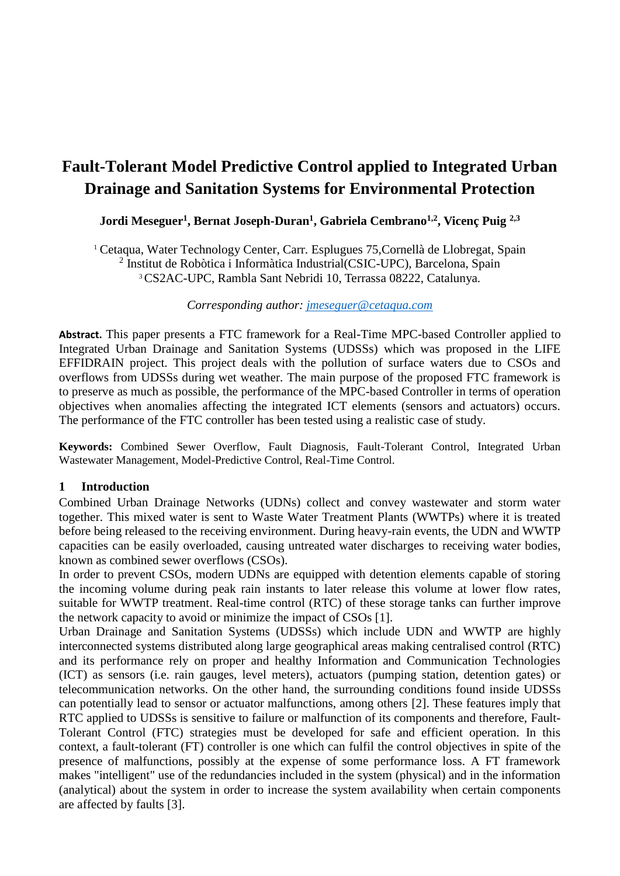# **Fault-Tolerant Model Predictive Control applied to Integrated Urban Drainage and Sanitation Systems for Environmental Protection**

## **Jordi Meseguer<sup>1</sup> , Bernat Joseph-Duran<sup>1</sup> , Gabriela Cembrano1,2, Vicenç Puig 2,3**

<sup>1</sup> Cetaqua, Water Technology Center, Carr. Esplugues 75,Cornellà de Llobregat, Spain 2 Institut de Robòtica i Informàtica Industrial(CSIC-UPC), Barcelona, Spain <sup>3</sup>CS2AC-UPC, Rambla Sant Nebridi 10, Terrassa 08222, Catalunya.

#### *Corresponding author: [jmeseguer@cetaqua.com](mailto:jmeseguer@cetaqua.com)*

**Abstract.** This paper presents a FTC framework for a Real-Time MPC-based Controller applied to Integrated Urban Drainage and Sanitation Systems (UDSSs) which was proposed in the LIFE EFFIDRAIN project. This project deals with the pollution of surface waters due to CSOs and overflows from UDSSs during wet weather. The main purpose of the proposed FTC framework is to preserve as much as possible, the performance of the MPC-based Controller in terms of operation objectives when anomalies affecting the integrated ICT elements (sensors and actuators) occurs. The performance of the FTC controller has been tested using a realistic case of study.

**Keywords:** Combined Sewer Overflow, Fault Diagnosis, Fault-Tolerant Control, Integrated Urban Wastewater Management, Model-Predictive Control, Real-Time Control.

#### **1 Introduction**

Combined Urban Drainage Networks (UDNs) collect and convey wastewater and storm water together. This mixed water is sent to Waste Water Treatment Plants (WWTPs) where it is treated before being released to the receiving environment. During heavy-rain events, the UDN and WWTP capacities can be easily overloaded, causing untreated water discharges to receiving water bodies, known as combined sewer overflows (CSOs).

In order to prevent CSOs, modern UDNs are equipped with detention elements capable of storing the incoming volume during peak rain instants to later release this volume at lower flow rates, suitable for WWTP treatment. Real-time control (RTC) of these storage tanks can further improve the network capacity to avoid or minimize the impact of CSOs [1].

Urban Drainage and Sanitation Systems (UDSSs) which include UDN and WWTP are highly interconnected systems distributed along large geographical areas making centralised control (RTC) and its performance rely on proper and healthy Information and Communication Technologies (ICT) as sensors (i.e. rain gauges, level meters), actuators (pumping station, detention gates) or telecommunication networks. On the other hand, the surrounding conditions found inside UDSSs can potentially lead to sensor or actuator malfunctions, among others [2]. These features imply that RTC applied to UDSSs is sensitive to failure or malfunction of its components and therefore, Fault-Tolerant Control (FTC) strategies must be developed for safe and efficient operation. In this context, a fault-tolerant (FT) controller is one which can fulfil the control objectives in spite of the presence of malfunctions, possibly at the expense of some performance loss. A FT framework makes "intelligent" use of the redundancies included in the system (physical) and in the information (analytical) about the system in order to increase the system availability when certain components are affected by faults [3].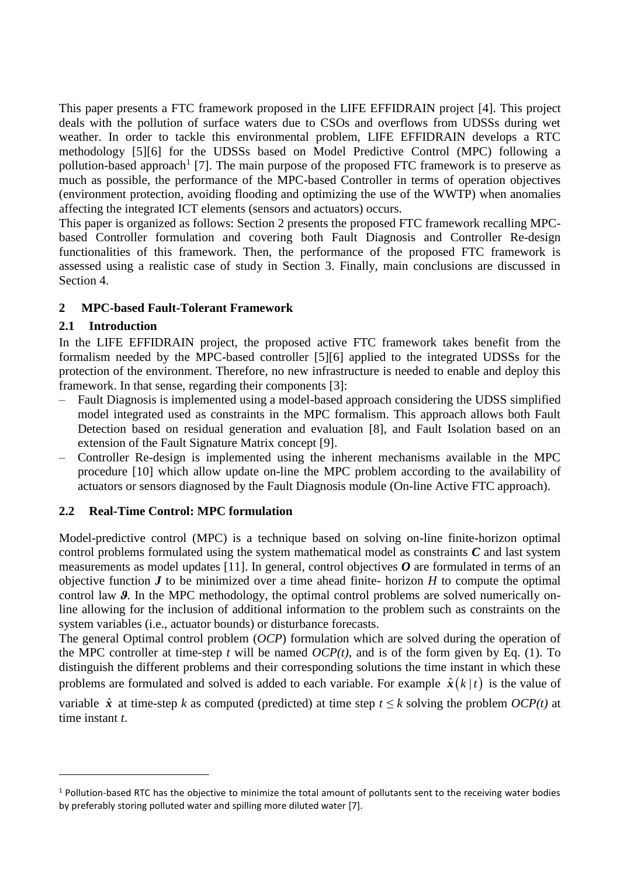This paper presents a FTC framework proposed in the LIFE EFFIDRAIN project [4]. This project deals with the pollution of surface waters due to CSOs and overflows from UDSSs during wet weather. In order to tackle this environmental problem, LIFE EFFIDRAIN develops a RTC methodology [5][6] for the UDSSs based on Model Predictive Control (MPC) following a pollution-based approach<sup>1</sup> [7]. The main purpose of the proposed FTC framework is to preserve as much as possible, the performance of the MPC-based Controller in terms of operation objectives (environment protection, avoiding flooding and optimizing the use of the WWTP) when anomalies affecting the integrated ICT elements (sensors and actuators) occurs.

This paper is organized as follows: Section 2 presents the proposed FTC framework recalling MPCbased Controller formulation and covering both Fault Diagnosis and Controller Re-design functionalities of this framework. Then, the performance of the proposed FTC framework is assessed using a realistic case of study in Section 3. Finally, main conclusions are discussed in Section 4.

## **2 MPC-based Fault-Tolerant Framework**

## <span id="page-1-0"></span>**2.1 Introduction**

In the LIFE EFFIDRAIN project, the proposed active FTC framework takes benefit from the formalism needed by the MPC-based controller [5][6] applied to the integrated UDSSs for the protection of the environment. Therefore, no new infrastructure is needed to enable and deploy this framework. In that sense, regarding their components [3]:

- ‒ Fault Diagnosis is implemented using a model-based approach considering the UDSS simplified model integrated used as constraints in the MPC formalism. This approach allows both Fault Detection based on residual generation and evaluation [8], and Fault Isolation based on an extension of the Fault Signature Matrix concept [9].
- ‒ Controller Re-design is implemented using the inherent mechanisms available in the MPC procedure [10] which allow update on-line the MPC problem according to the availability of actuators or sensors diagnosed by the Fault Diagnosis module (On-line Active FTC approach).

# <span id="page-1-1"></span>**2.2 Real-Time Control: MPC formulation**

Model-predictive control (MPC) is a technique based on solving on-line finite-horizon optimal control problems formulated using the system mathematical model as constraints *C* and last system measurements as model updates [11]. In general, control objectives  $\boldsymbol{0}$  are formulated in terms of an objective function  $J$  to be minimized over a time ahead finite- horizon  $H$  to compute the optimal control law **9**. In the MPC methodology, the optimal control problems are solved numerically online allowing for the inclusion of additional information to the problem such as constraints on the system variables (i.e., actuator bounds) or disturbance forecasts.

The general Optimal control problem (*OCP*) formulation which are solved during the operation of the MPC controller at time-step  $t$  will be named  $OCP(t)$ , and is of the form given by Eq. (1). To distinguish the different problems and their corresponding solutions the time instant in which these problems are formulated and solved is added to each variable. For example  $\hat{x}(k|t)$  is the value of variable  $\hat{x}$  at time-step *k* as computed (predicted) at time step  $t \leq k$  solving the problem *OCP(t)* at time instant *t*.

<sup>&</sup>lt;sup>1</sup> Pollution-based RTC has the objective to minimize the total amount of pollutants sent to the receiving water bodies by preferably storing polluted water and spilling more diluted water [7].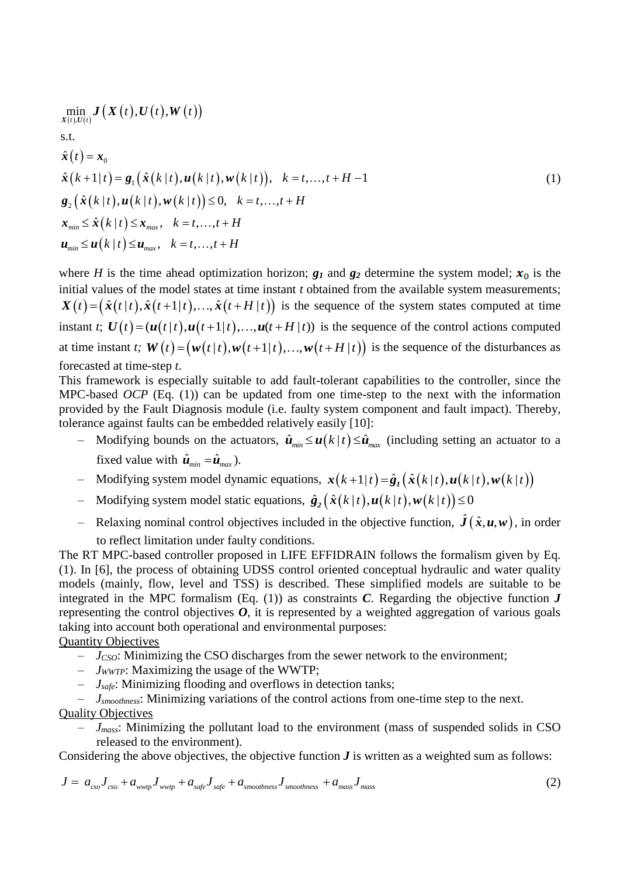$$
\min_{\mathbf{x}(t),\mathbf{U}(t)} \mathbf{J}\big(\mathbf{X}(t),\mathbf{U}(t),\mathbf{W}(t)\big)
$$
\ns.t.\n
$$
\hat{\mathbf{x}}(t) = \mathbf{x}_0
$$
\n
$$
\hat{\mathbf{x}}(k+1|t) = \mathbf{g}_1\big(\hat{\mathbf{x}}(k|t),\mathbf{u}(k|t),\mathbf{w}(k|t)\big), \quad k = t,...,t + H - 1
$$
\n
$$
\mathbf{g}_2\big(\hat{\mathbf{x}}(k|t),\mathbf{u}(k|t),\mathbf{w}(k|t)\big) \le 0, \quad k = t,...,t + H
$$
\n
$$
\mathbf{x}_{\text{min}} \le \hat{\mathbf{x}}(k|t) \le \mathbf{x}_{\text{max}}, \quad k = t,...,t + H
$$
\n
$$
\mathbf{u}_{\text{min}} \le \mathbf{u}(k|t) \le \mathbf{u}_{\text{max}}, \quad k = t,...,t + H
$$

where *H* is the time ahead optimization horizon;  $g_1$  and  $g_2$  determine the system model;  $x_0$  is the initial values of the model states at time instant *t* obtained from the available system measurements; where *H* is the time ahead optimization horizon;  $g_I$  and  $g_2$  determine the system model;  $x_0$  is the nitial values of the model states at time instant *t* obtained from the available system measurements;  $X(t) = (\hat{x}(t|t$ instant t;  $\mathbf{U}(t) = (\mathbf{u}(t | t), \mathbf{u}(t+1 | t), \dots, \mathbf{u}(t + H | t))$  is the sequence of the control actions computed at time instant *t*;  $W(t) = (w(t|t), w(t+1|t), ..., w(t+H|t))$  is the sequence of the disturbances as  $(u(t|t), u(t+1|t), ..., u(t+H|t))$  is the sequence of<br>  $W(t) = (w(t|t), w(t+1|t), ..., w(t+H|t))$  is the set forecasted at time-step *t*.

This framework is especially suitable to add fault-tolerant capabilities to the controller, since the MPC-based *OCP* (Eq. (1)) can be updated from one time-step to the next with the information provided by the Fault Diagnosis module (i.e. faulty system component and fault impact). Thereby, tolerance against faults can be embedded relatively easily [10]:

- $\sim$  Modifying bounds on the actuators,  $\hat{\mathbf{u}}_{min} \leq \mathbf{u}(k \mid t) \leq \hat{\mathbf{u}}_{max}$  (including setting an actuator to a fixed value with  $\hat{\mathbf{u}}_{min} = \hat{\mathbf{u}}_{max}$ ).
- Modifying system model dynamic equations,  $\mathbf{x}(k+1|t) = \hat{\mathbf{g}}_1(\hat{\mathbf{x}}(k|t), \mathbf{u}(k|t), \mathbf{w}(k|t))$
- $-$  Modifying system model static equations,  $\hat{g}_2(\hat{x}(k|t), u(k|t), w(k|t)) \leq 0$
- Relaxing nominal control objectives included in the objective function,  $\hat{J}(\hat{x}, u, w)$ , in order to reflect limitation under faulty conditions.

The RT MPC-based controller proposed in LIFE EFFIDRAIN follows the formalism given by Eq. (1). In [6], the process of obtaining UDSS control oriented conceptual hydraulic and water quality models (mainly, flow, level and TSS) is described. These simplified models are suitable to be integrated in the MPC formalism  $(Eq, (1))$  as constraints *C*. Regarding the objective function *J* representing the control objectives  $\boldsymbol{O}$ , it is represented by a weighted aggregation of various goals taking into account both operational and environmental purposes:

### Quantity Objectives

- ‒ *JCSO*: Minimizing the CSO discharges from the sewer network to the environment;
- ‒ *JWWTP*: Maximizing the usage of the WWTP;
- ‒ *Jsafe*: Minimizing flooding and overflows in detection tanks;
- ‒ *Jsmoothness*: Minimizing variations of the control actions from one-time step to the next. Quality Objectives
	- ‒ *Jmass*: Minimizing the pollutant load to the environment (mass of suspended solids in CSO released to the environment).

Considering the above objectives, the objective function  $J$  is written as a weighted sum as follows:

Considering the above objectives, the objective function **J** is written as a weighted sum as follows:  
\n
$$
J = a_{\text{cso}} J_{\text{cso}} + a_{\text{wwp}} J_{\text{wwp}} + a_{\text{safe}} J_{\text{safe}} + a_{\text{smoothness}} J_{\text{smoothness}} + a_{\text{mass}} J_{\text{mass}}
$$
\n(2)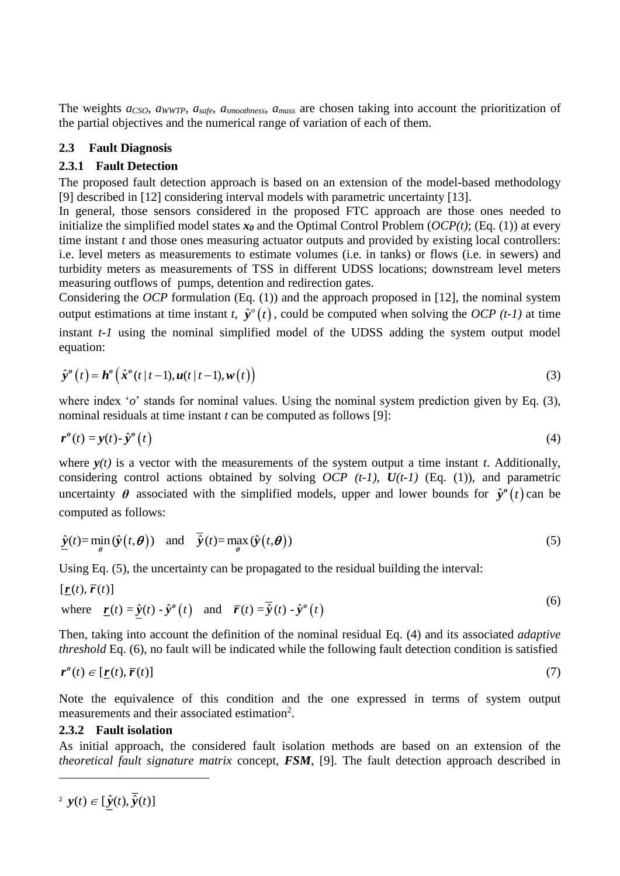The weights *aCSO*, *aWWTP*, *asafe*, *asmoothness*, *amass* are chosen taking into account the prioritization of the partial objectives and the numerical range of variation of each of them.

## **2.3 Fault Diagnosis**

## <span id="page-3-0"></span>**2.3.1 Fault Detection**

The proposed fault detection approach is based on an extension of the model-based methodology [9] described in [12] considering interval models with parametric uncertainty [13].

In general, those sensors considered in the proposed FTC approach are those ones needed to initialize the simplified model states  $x_0$  and the Optimal Control Problem ( $OCP(t)$ ; (Eq. (1)) at every time instant *t* and those ones measuring actuator outputs and provided by existing local controllers: i.e. level meters as measurements to estimate volumes (i.e. in tanks) or flows (i.e. in sewers) and turbidity meters as measurements of TSS in different UDSS locations; downstream level meters measuring outflows of pumps, detention and redirection gates.

Considering the *OCP* formulation (Eq. (1)) and the approach proposed in [12], the nominal system output estimations at time instant *t*,  $\hat{y}^{\circ}(t)$ , could be computed when solving the *OCP* (*t-1*) at time instant *t-1* using the nominal simplified model of the UDSS adding the system output model equation:

equation:  
\n
$$
\hat{\mathbf{y}}^{o}(t) = \mathbf{h}^{o}\left(\hat{\mathbf{x}}^{o}(t|t-1), \mathbf{u}(t|t-1), \mathbf{w}(t)\right)
$$
\n(3)

where index '*o*' stands for nominal values. Using the nominal system prediction given by Eq. (3), nominal residuals at time instant *t* can be computed as follows [9]:

$$
\boldsymbol{r}^o(t) = \mathbf{y}(t) - \hat{\mathbf{y}}^o\left(t\right) \tag{4}
$$

where  $y(t)$  is a vector with the measurements of the system output a time instant *t*. Additionally, considering control actions obtained by solving  $OCP$  (t-1),  $U(t-1)$  (Eq. (1)), and parametric uncertainty  $\theta$  associated with the simplified models, upper and lower bounds for  $\hat{y}^{\circ}(t)$  can be computed as follows:

computed as follows:  
\n
$$
\hat{\mathbf{y}}(t) = \min_{\theta} (\hat{\mathbf{y}}(t, \theta)) \text{ and } \overline{\hat{\mathbf{y}}}(t) = \max_{\theta} (\hat{\mathbf{y}}(t, \theta))
$$
\n(5)

Using Eq. (5), the uncertainty can be propagated to the residual building the interval:  
\n
$$
[\underline{\mathbf{r}}(t), \overline{\mathbf{r}}(t)]
$$
\nwhere  $\underline{\mathbf{r}}(t) = \underline{\hat{\mathbf{y}}}(t) - \hat{\mathbf{y}}(t)$  and  $\overline{\mathbf{r}}(t) = \overline{\hat{\mathbf{y}}}(t) - \hat{\mathbf{y}}(t)$  (6)

Then, taking into account the definition of the nominal residual Eq. (4) and its associated *adaptive threshold* Eq. (6), no fault will be indicated while the following fault detection condition is satisfied

$$
\boldsymbol{r}^{\boldsymbol{\theta}}(t) \in [\underline{\boldsymbol{r}}(t), \overline{\boldsymbol{r}}(t)] \tag{7}
$$

Note the equivalence of this condition and the one expressed in terms of system output measurements and their associated estimation<sup>2</sup>.

#### **2.3.2 Fault isolation**

As initial approach, the considered fault isolation methods are based on an extension of the *theoretical fault signature matrix* concept, *FSM*, [9]. The fault detection approach described in

<sup>2</sup> 
$$
y(t) \in [\underline{\hat{y}}(t), \overline{\hat{y}}(t)]
$$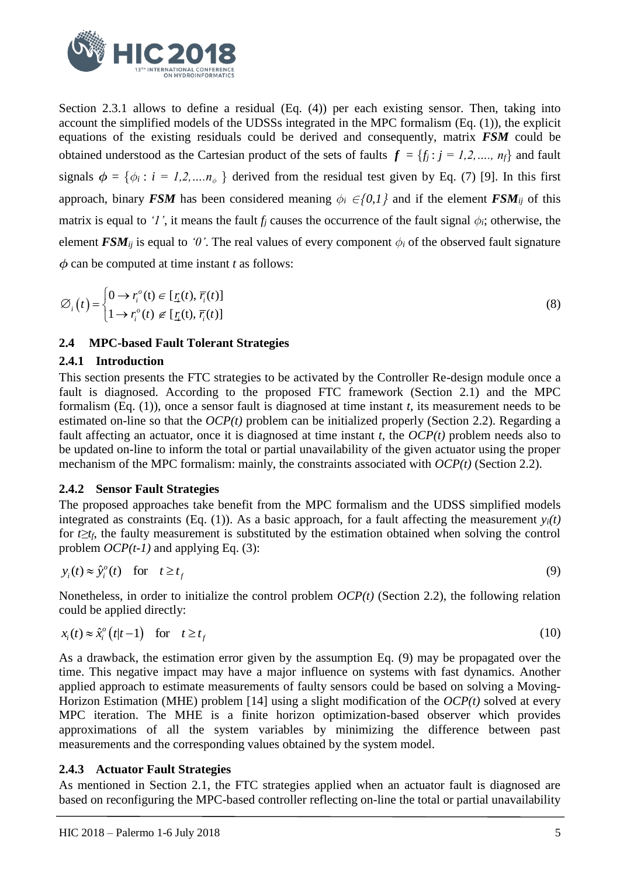

Section [2.3.1](#page-3-0) allows to define a residual (Eq. (4)) per each existing sensor. Then, taking into account the simplified models of the UDSSs integrated in the MPC formalism (Eq. (1)), the explicit equations of the existing residuals could be derived and consequently, matrix *FSM* could be obtained understood as the Cartesian product of the sets of faults  $f = \{f_i : j = 1,2,..., n_f\}$  and fault signals  $\phi = {\phi_i : i = 1,2,...,n_{\phi}}$  derived from the residual test given by Eq. (7) [9]. In this first approach, binary *FSM* has been considered meaning  $\phi_i \in \{0,1\}$  and if the element *FSM*<sub>*ij*</sub> of this matrix is equal to *'1'*, it means the fault  $f_i$  causes the occurrence of the fault signal  $\phi_i$ ; otherwise, the element *FSM*<sub>*ij*</sub> is equal to '0'. The real values of every component  $\phi_i$  of the observed fault signature  $\phi$  can be computed at time instant *t* as follows:

$$
\varnothing_i(t) = \begin{cases} 0 \to r_i^o(t) \in [\underline{r}_i(t), \overline{r}_i(t)] \\ 1 \to r_i^o(t) \not\in [\underline{r}_i(t), \overline{r}_i(t)] \end{cases} \tag{8}
$$

## **2.4 MPC-based Fault Tolerant Strategies**

#### **2.4.1 Introduction**

This section presents the FTC strategies to be activated by the Controller Re-design module once a fault is diagnosed. According to the proposed FTC framework (Section [2.1\)](#page-1-0) and the MPC formalism (Eq. (1)), once a sensor fault is diagnosed at time instant *t*, its measurement needs to be estimated on-line so that the *OCP(t)* problem can be initialized properly (Section [2.2\)](#page-1-1). Regarding a fault affecting an actuator, once it is diagnosed at time instant *t*, the *OCP(t)* problem needs also to be updated on-line to inform the total or partial unavailability of the given actuator using the proper mechanism of the MPC formalism: mainly, the constraints associated with *OCP(t)* (Section [2.2\)](#page-1-1).

#### **2.4.2 Sensor Fault Strategies**

The proposed approaches take benefit from the MPC formalism and the UDSS simplified models integrated as constraints (Eq. (1)). As a basic approach, for a fault affecting the measurement  $y_i(t)$ for *t≥tf*, the faulty measurement is substituted by the estimation obtained when solving the control problem *OCP(t-1)* and applying Eq. (3):

$$
y_i(t) \approx \hat{y}_i^o(t) \quad \text{for} \quad t \ge t_f \tag{9}
$$

Nonetheless, in order to initialize the control problem *OCP(t)* (Section [2.2\)](#page-1-1), the following relation

could be applied directly:  
\n
$$
x_i(t) \approx \hat{x}_i^o(t|t-1) \quad \text{for} \quad t \ge t_f
$$
\n(10)

As a drawback, the estimation error given by the assumption Eq. (9) may be propagated over the time. This negative impact may have a major influence on systems with fast dynamics. Another applied approach to estimate measurements of faulty sensors could be based on solving a Moving-Horizon Estimation (MHE) problem [14] using a slight modification of the *OCP(t)* solved at every MPC iteration. The MHE is a finite horizon optimization-based observer which provides approximations of all the system variables by minimizing the difference between past measurements and the corresponding values obtained by the system model.

## <span id="page-4-0"></span>**2.4.3 Actuator Fault Strategies**

As mentioned in Section [2.1,](#page-1-0) the FTC strategies applied when an actuator fault is diagnosed are based on reconfiguring the MPC-based controller reflecting on-line the total or partial unavailability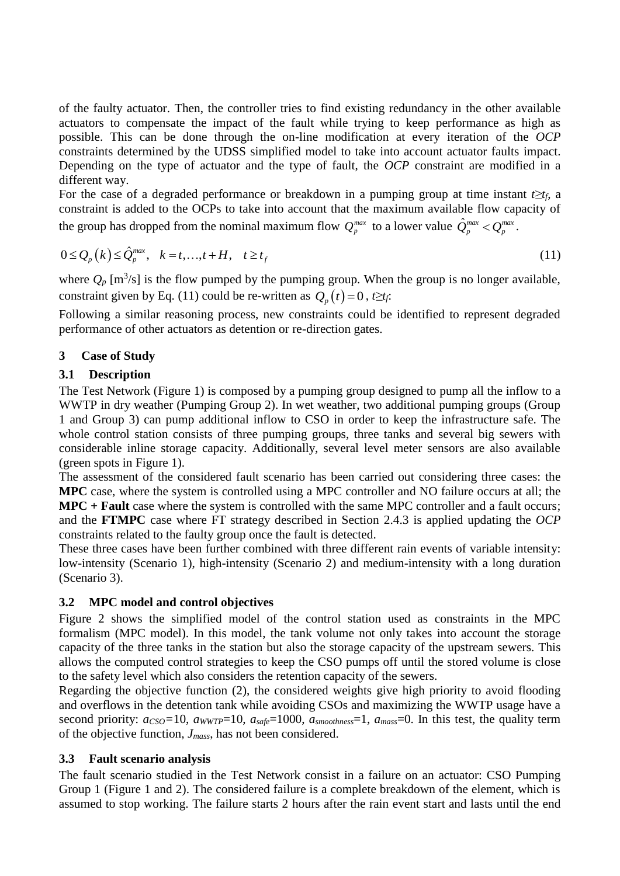of the faulty actuator. Then, the controller tries to find existing redundancy in the other available actuators to compensate the impact of the fault while trying to keep performance as high as possible. This can be done through the on-line modification at every iteration of the *OCP* constraints determined by the UDSS simplified model to take into account actuator faults impact. Depending on the type of actuator and the type of fault, the *OCP* constraint are modified in a different way.

For the case of a degraded performance or breakdown in a pumping group at time instant *t≥tf*, a constraint is added to the OCPs to take into account that the maximum available flow capacity of

the group has dropped from the nominal maximum flow 
$$
Q_p^{max}
$$
 to a lower value  $\hat{Q}_p^{max} < Q_p^{max}$ .  
\n
$$
0 \le Q_p(k) \le \hat{Q}_p^{max}, \quad k = t, ..., t + H, \quad t \ge t_f
$$
\n(11)

where  $Q_p$  [m<sup>3</sup>/s] is the flow pumped by the pumping group. When the group is no longer available, constraint given by Eq. (11) could be re-written as  $Q_p(t) = 0$ ,  $t \geq t_f$ .

Following a similar reasoning process, new constraints could be identified to represent degraded performance of other actuators as detention or re-direction gates.

## **3 Case of Study**

## **3.1 Description**

The Test Network (Figure 1) is composed by a pumping group designed to pump all the inflow to a WWTP in dry weather (Pumping Group 2). In wet weather, two additional pumping groups (Group 1 and Group 3) can pump additional inflow to CSO in order to keep the infrastructure safe. The whole control station consists of three pumping groups, three tanks and several big sewers with considerable inline storage capacity. Additionally, several level meter sensors are also available (green spots in Figure 1).

The assessment of the considered fault scenario has been carried out considering three cases: the **MPC** case, where the system is controlled using a MPC controller and NO failure occurs at all; the **MPC + Fault** case where the system is controlled with the same MPC controller and a fault occurs; and the **FTMPC** case where FT strategy described in Section [2.4.3](#page-4-0) is applied updating the *OCP* constraints related to the faulty group once the fault is detected.

These three cases have been further combined with three different rain events of variable intensity: low-intensity (Scenario 1), high-intensity (Scenario 2) and medium-intensity with a long duration (Scenario 3).

## **3.2 MPC model and control objectives**

Figure 2 shows the simplified model of the control station used as constraints in the MPC formalism (MPC model). In this model, the tank volume not only takes into account the storage capacity of the three tanks in the station but also the storage capacity of the upstream sewers. This allows the computed control strategies to keep the CSO pumps off until the stored volume is close to the safety level which also considers the retention capacity of the sewers.

Regarding the objective function (2), the considered weights give high priority to avoid flooding and overflows in the detention tank while avoiding CSOs and maximizing the WWTP usage have a second priority: *aCSO=*10, *aWWTP*=10, *asafe*=1000, *asmoothness*=1, *amass*=0. In this test, the quality term of the objective function, *Jmass*, has not been considered.

## **3.3 Fault scenario analysis**

The fault scenario studied in the Test Network consist in a failure on an actuator: CSO Pumping Group 1 (Figure 1 and 2). The considered failure is a complete breakdown of the element, which is assumed to stop working. The failure starts 2 hours after the rain event start and lasts until the end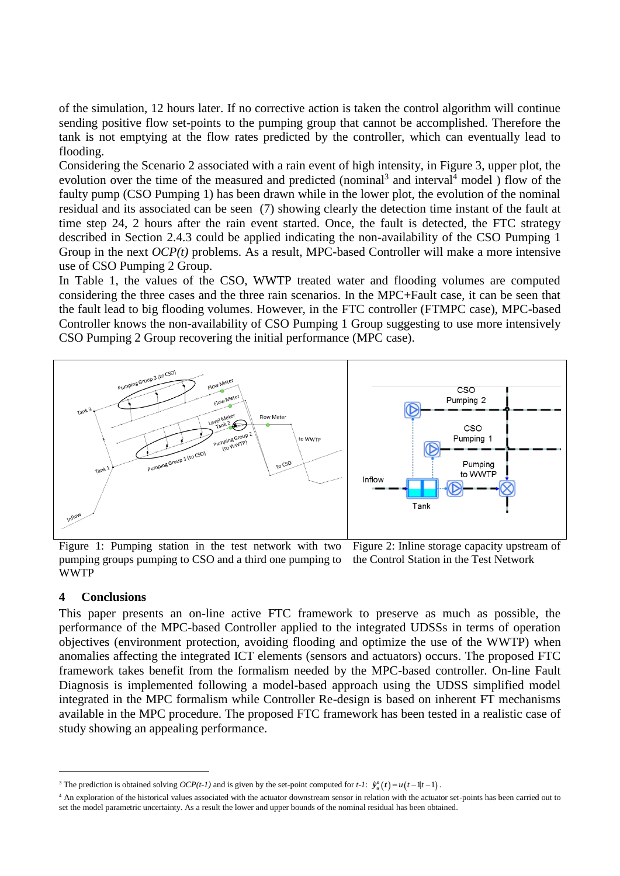of the simulation, 12 hours later. If no corrective action is taken the control algorithm will continue sending positive flow set-points to the pumping group that cannot be accomplished. Therefore the tank is not emptying at the flow rates predicted by the controller, which can eventually lead to flooding.

Considering the Scenario 2 associated with a rain event of high intensity, in Figure 3, upper plot, the evolution over the time of the measured and predicted (nominal<sup>3</sup> and interval<sup>4</sup> model) flow of the faulty pump (CSO Pumping 1) has been drawn while in the lower plot, the evolution of the nominal residual and its associated can be seen (7) showing clearly the detection time instant of the fault at time step 24, 2 hours after the rain event started. Once, the fault is detected, the FTC strategy described in Section [2.4.3](#page-4-0) could be applied indicating the non-availability of the CSO Pumping 1 Group in the next *OCP(t)* problems. As a result, MPC-based Controller will make a more intensive use of CSO Pumping 2 Group.

In Table 1, the values of the CSO, WWTP treated water and flooding volumes are computed considering the three cases and the three rain scenarios. In the MPC+Fault case, it can be seen that the fault lead to big flooding volumes. However, in the FTC controller (FTMPC case), MPC-based Controller knows the non-availability of CSO Pumping 1 Group suggesting to use more intensively CSO Pumping 2 Group recovering the initial performance (MPC case).



Figure 1: Pumping station in the test network with two pumping groups pumping to CSO and a third one pumping to WWTP Figure 2: Inline storage capacity upstream of the Control Station in the Test Network

#### **4 Conclusions**

This paper presents an on-line active FTC framework to preserve as much as possible, the performance of the MPC-based Controller applied to the integrated UDSSs in terms of operation objectives (environment protection, avoiding flooding and optimize the use of the WWTP) when anomalies affecting the integrated ICT elements (sensors and actuators) occurs. The proposed FTC framework takes benefit from the formalism needed by the MPC-based controller. On-line Fault Diagnosis is implemented following a model-based approach using the UDSS simplified model integrated in the MPC formalism while Controller Re-design is based on inherent FT mechanisms available in the MPC procedure. The proposed FTC framework has been tested in a realistic case of study showing an appealing performance.

<sup>&</sup>lt;sup>3</sup> The prediction is obtained solving *OCP*(*t*-*1*) and is given by the set-point computed for *t*-*1*:  $\hat{y}_u^o(t) = u(t-1|t-1)$ .

<sup>4</sup> An exploration of the historical values associated with the actuator downstream sensor in relation with the actuator set-points has been carried out to set the model parametric uncertainty. As a result the lower and upper bounds of the nominal residual has been obtained.